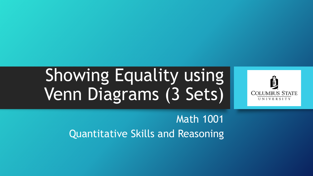# Showing Equality using Venn Diagrams (3 Sets)



Math 1001 Quantitative Skills and Reasoning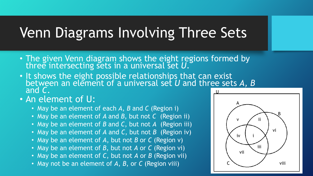## Venn Diagrams Involving Three Sets

- The given Venn diagram shows the eight regions formed by three intersecting sets in a universal set U.
- It shows the eight possible relationships that can exist between an element of a universal set *U* and three sets A, *B* and *C*. U
- An element of U:
	- May be an element of each *A*, *B* and *C* (Region i)
	- May be an element of *A* and *B*, but not *C* (Region ii)
	- May be an element of *B* and *C*, but not *A* (Region iii)
	- May be an element of *A* and *C*, but not *B* (Region iv)
	- May be an element of *A*, but not *B* or *C* (Region v)
	- May be an element of *B*, but not *A* or *C* (Region vi)
	- May be an element of *C*, but not *A* or *B* (Region vii)
	- May not be an element of *A*, *B*, or *C* (Region viii)

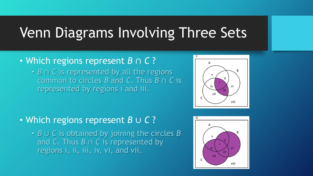### Venn Diagrams Involving Three Sets

#### • Which regions represent *B* ∩ *C* ?

• *B* ∩ *C* is represented by all the regions common to circles *B* and *C*. Thus *B* ∩ *C* is represented by regions i and iii.

#### • Which regions represent *B* ∪ *C* ?

• *B* ∪ *C* is obtained by joining the circles *B* and *C*. Thus *B* ∩ *C* is represented by regions i, ii, iii, iv, vi, and vii.



viii

U

C

A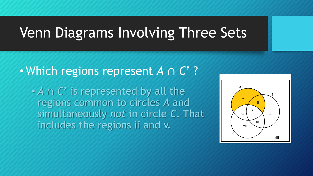### Venn Diagrams Involving Three Sets

### • Which regions represent *A* ∩ *C*' ?

• *A* ∩ *C*' is represented by all the regions common to circles *A* and simultaneously *not* in circle *C*. That includes the regions ii and v.

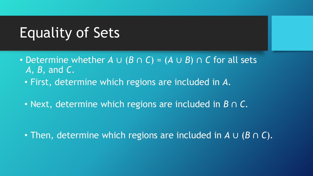- Determine whether *A* ∪ (*B* ∩ *C*) = (*A* ∪ *B*) ∩ *C* for all sets *A, B*, and *C*.
	- First, determine which regions are included in *A.*
	- Next, determine which regions are included in *B* ∩ *C.*

• Then, determine which regions are included in *A* ∪ (*B* ∩ *C*)*.*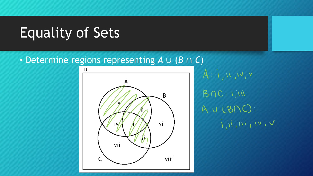#### • Determine regions representing *A* ∪ (*B* ∩ *C*)



 $A: i, w, w, v$  $B \cap C$ : i; iii  $AUCB\\ C$ :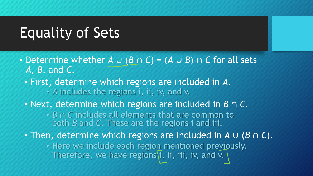- Determine whether *A* ∪ (*B* ∩ *C*) = (*A* ∪ *B*) ∩ *C* for all sets *A, B*, and *C*.
	- *A* includes the regions i, ii, iv, and v. • First, determine which regions are included in *A.*
	- Next, determine which regions are included in *B* ∩ *C.*
		- *B* ∩ *C* includes all elements that are common to both *B* and *C*. These are the regions i and iii.
	- Then, determine which regions are included in *A* ∪ (*B* ∩ *C*)*.*
		- Here we include each region mentioned previously. Therefore, we have regions  $\overline{i}$ , ii, iii, iv, and v.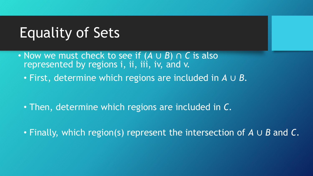- Now we must check to see if (*A* ∪ *B*) ∩ *C* is also represented by regions *i*, *ii*, *iii*, *iv*, and v.
	- First, determine which regions are included in *A* ∪ *B*.

- Then, determine which regions are included in *C.*
- Finally, which region(s) represent the intersection of *A* ∪ *B* and *C*.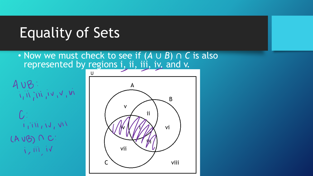• Now we must check to see if (*A* ∪ *B*) ∩ *C* is also represented by regions i, ii, iii, iv, and v.



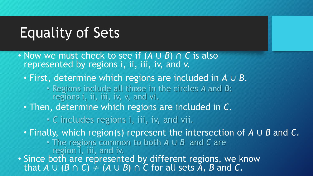- Now we must check to see if (*A* ∪ *B*) ∩ *C* is also represented by regions *i*, *ii*, *iii*, *iv*, and v.
	- First, determine which regions are included in *A* ∪ *B*.
		- Regions include all those in the circles *A* and *B*: regions i, ii, iii, iv, v, and vi.
	- Then, determine which regions are included in *C.*
		- *C* includes regions i, iii, iv, and vii.
	- Finally, which region(s) represent the intersection of *A* ∪ *B* and *C*.
		- The regions common to both *A* ∪ *B* and *C* are
			- region i, iii, and iv.
- Since both are represented by different regions, we know that  $A \cup (B \cap C) \neq (A \cup B) \cap C$  for all sets  $\overline{A}$ ,  $B$  and  $C$ .